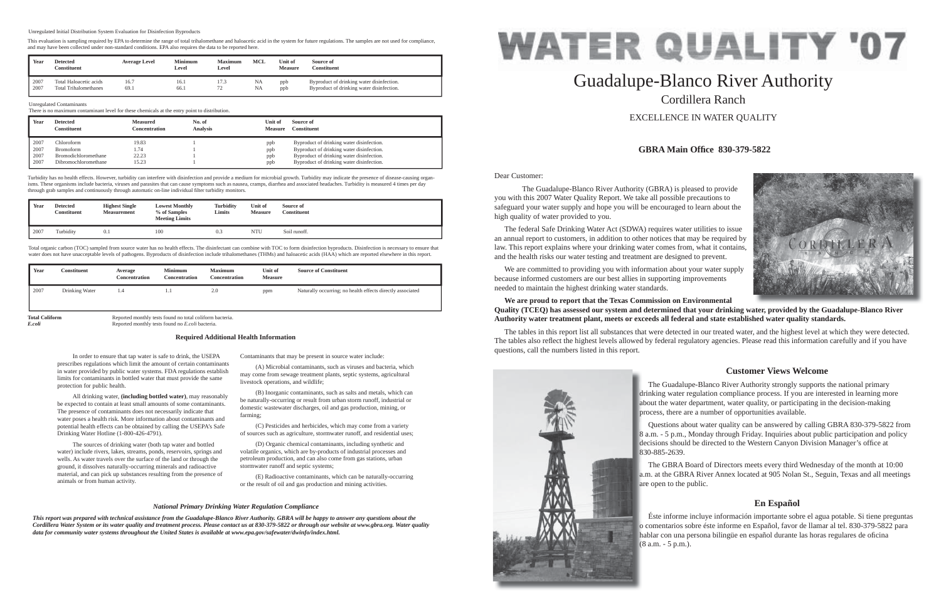Dear Customer:

 The Guadalupe-Blanco River Authority (GBRA) is pleased to provide you with this 2007 Water Quality Report. We take all possible precautions to safeguard your water supply and hope you will be encouraged to learn about the high quality of water provided to you.

 The federal Safe Drinking Water Act (SDWA) requires water utilities to issue an annual report to customers, in addition to other notices that may be required by law. This report explains where your drinking water comes from, what it contains, and the health risks our water testing and treatment are designed to prevent.

 We are committed to providing you with information about your water supply because informed customers are our best allies in supporting improvements needed to maintain the highest drinking water standards.

# **We are proud to report that the Texas Commission on Environmental**  Quality (TCEQ) has assessed our system and determined that your drinking water, provided by the Guadalupe-Blanco River **Authority water treatment plant, meets or exceeds all federal and state established water quality standards.**

The tables in this report list all substances that were detected in our treated water, and the highest level at which they were detected. The tables also reflect the highest levels allowed by federal regulatory agencies. Please read this information carefully and if you have questions, call the numbers listed in this report.



# Guadalupe-Blanco River Authority Cordillera RanchEXCELLENCE IN WATER QUALITY

# **GBRA Main Offi ce 830-379-5822**

# **Customer Views Welcome**

# **En Español**

 In order to ensure that tap water is safe to drink, the USEPA prescribes regulations which limit the amount of certain contaminants in water provided by public water systems. FDA regulations establish limits for contaminants in bottled water that must provide the same

Turbidity has no health effects. However, turbidity can interfere with disinfection and provide a medium for microbial growth. Turbidity may indicate the presence of disease-causing organisms. These organisms include bacteria, viruses and parasites that can cause symptoms such as nausea, cramps, diarrhea and associated headaches. Turbidity is measured 4 times per day through grab samples and continuously through automatic on-line individual filter turbidity monitors

protection for public health.

 All drinking water, **(including bottled water)**, may reasonably be expected to contain at least small amounts of some contaminants. The presence of contaminants does not necessarily indicate that water poses a health risk. More information about contaminants and potential health effects can be obtained by calling the USEPA's Safe

Drinking Water Hotline (1-800-426-4791).

 The Guadalupe-Blanco River Authority strongly supports the national primary drinking water regulation compliance process. If you are interested in learning more dri about the water department, water quality, or participating in the decision-making ab process, there are a number of opportunities available. pro

Total organic carbon (TOC) sampled from source water has no health effects. The disinfectant can combine with TOC to form disinfection byproducts. Disinfection is necessary to ensure that water does not have unacceptable levels of pathogens. Byproducts of disinfection include trihalomethanes (THMs) and haloacetic acids (HAA) which are reported elsewhere in this report.

 The sources of drinking water (both tap water and bottled water) include rivers, lakes, streams, ponds, reservoirs, springs and wells. As water travels over the surface of the land or through the ground, it dissolves naturally-occurring minerals and radioactive material, and can pick up substances resulting from the presence of

 Questions about water quality can be answered by calling GBRA 830-379-5822 from 8 a.m. - 5 p.m., Monday through Friday. Inquiries about public participation and policy a decisions should be directed to the Western Canyon Division Manager's office at 830-885-2639. 83

**Total Coliform** Reported monthly tests found no total coliform bacteria.<br>
Reported monthly tests found no *E*.coli bacteria. *E.coli* Reported monthly tests found no *E.coli* bacteria.

animals or from human activity.

 The GBRA Board of Directors meets every third Wednesday of the month at 10:00 a.m. at the GBRA River Annex located at 905 Nolan St., Seguin, Texas and all meetings a.m are open to the public. are

Contaminants that may be present in source water include:

 Éste informe incluye información importante sobre el agua potable. Si tiene preguntas o comentarios sobre éste informe en Español, favor de llamar al tel. 830-379-5822 para o c hablar con una persona bilingüe en español durante las horas regulares de oficina (8 a.m. - 5 p.m.).



 (A) Microbial contaminants, such as viruses and bacteria, which may come from sewage treatment plants, septic systems, agricultural livestock operations, and wildlife;

 (B) Inorganic contaminants, such as salts and metals, which can be naturally-occurring or result from urban storm runoff, industrial or domestic wastewater discharges, oil and gas production, mining, or farming;

 (C) Pesticides and herbicides, which may come from a variety of sources such as agriculture, stormwater runoff, and residential uses;

 (D) Organic chemical contaminants, including synthetic and volatile organics, which are by-products of industrial processes and petroleum production, and can also come from gas stations, urban stormwater runoff and septic systems;

 (E) Radioactive contaminants, which can be naturally-occurring or the result of oil and gas production and mining activities.

#### **Required Additional Health Information**

### *National Primary Drinking Water Regulation Compliance*

*This report was prepared with technical assistance from the Guadalupe-Blanco River Authority. GBRA will be happy to answer any questions about the Cordillera Water System or its water quality and treatment process. Please contact us at 830-379-5822 or through our website at www.gbra.org. Water quality data for community water systems throughout the United States is available at www.epa.gov/safewater/dwinfo/index.html.*

#### Unregulated Contaminants

There is no maximum contaminant level for these chemicals at the entry point to distribution.

| Year | <b>Detected</b>      | Measured      | No. of          | Unit of        | Source of                                 |
|------|----------------------|---------------|-----------------|----------------|-------------------------------------------|
|      | Constituent          | Concentration | <b>Analysis</b> | <b>Measure</b> | <b>Constituent</b>                        |
| 2007 | Chloroform           | 19.83         |                 | ppb            | Byproduct of drinking water disinfection. |
| 2007 | <b>Bromoform</b>     | 1.74          |                 | ppb            | Byproduct of drinking water disinfection. |
| 2007 | Bromodichloromethane | 22.23         |                 | ppb            | Byproduct of drinking water disinfection. |
| 2007 | Dibromochloromethane | 15.23         |                 | ppb            | Byproduct of drinking water disinfection. |

| Year | <b>Detected</b><br><b>Constituent</b> | <b>Highest Single</b><br><b>Measurement</b> | <b>Lowest Monthly</b><br>% of Samples<br><b>Meeting Limits</b> | <b>Turbidity</b><br>Limits | Unit of<br><b>Measure</b> | Source of<br>Constituent |
|------|---------------------------------------|---------------------------------------------|----------------------------------------------------------------|----------------------------|---------------------------|--------------------------|
| 2007 | Turbidity                             | $_{0.1}$                                    | 100                                                            | 0.3                        | NTU                       | Soil runoff.             |

| Year | Constituent    | Average<br>Concentration | <b>Minimum</b><br><b>Concentration</b> | <b>Maximum</b><br>Concentration | Unit of<br><b>Measure</b> | <b>Source of Constituent</b>                               |
|------|----------------|--------------------------|----------------------------------------|---------------------------------|---------------------------|------------------------------------------------------------|
| 2007 | Drinking Water | 1.4                      | 1.1                                    | 2.0                             | ppm                       | Naturally occurring; no health effects directly associated |

| Year         | <b>Detected</b><br>Constituent                         | <b>Average Level</b> | Minimum<br>Level | <b>Maximum</b><br>∟evel  | MCL      | Unit of<br><b>Measure</b> | Source of<br>Constituent                                                               |
|--------------|--------------------------------------------------------|----------------------|------------------|--------------------------|----------|---------------------------|----------------------------------------------------------------------------------------|
| 2007<br>2007 | Total Haloacetic acids<br><b>Total Trihalomethanes</b> | 16.7<br>69.1         | 16.1<br>66.1     | .<br>$\neg \land$<br>ے ر | NA<br>NA | ppb<br>ppb                | Byproduct of drinking water disinfection.<br>Byproduct of drinking water disinfection. |

#### Unregulated Initial Distribution System Evaluation for Disinfection Byproducts

This evaluation is sampling required by EPA to determine the range of total trihalomethane and haloacetic acid in the system for future regulations. The samples are not used for compliance, and may have been collected under non-standard conditions. EPA also requires the data to be reported here.